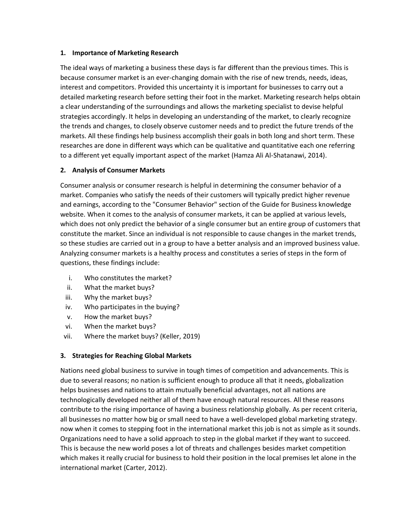#### **1. Importance of Marketing Research**

The ideal ways of marketing a business these days is far different than the previous times. This is because consumer market is an ever-changing domain with the rise of new trends, needs, ideas, interest and competitors. Provided this uncertainty it is important for businesses to carry out a detailed marketing research before setting their foot in the market. Marketing research helps obtain a clear understanding of the surroundings and allows the marketing specialist to devise helpful strategies accordingly. It helps in developing an understanding of the market, to clearly recognize the trends and changes, to closely observe customer needs and to predict the future trends of the markets. All these findings help business accomplish their goals in both long and short term. These researches are done in different ways which can be qualitative and quantitative each one referring to a different yet equally important aspect of the market (Hamza Ali Al-Shatanawi, 2014).

## **2. Analysis of Consumer Markets**

Consumer analysis or consumer research is helpful in determining the consumer behavior of a market. Companies who satisfy the needs of their customers will typically predict higher revenue and earnings, according to the "Consumer Behavior" section of the Guide for Business knowledge website. When it comes to the analysis of consumer markets, it can be applied at various levels, which does not only predict the behavior of a single consumer but an entire group of customers that constitute the market. Since an individual is not responsible to cause changes in the market trends, so these studies are carried out in a group to have a better analysis and an improved business value. Analyzing consumer markets is a healthy process and constitutes a series of steps in the form of questions, these findings include:

- i. Who constitutes the market?
- ii. What the market buys?
- iii. Why the market buys?
- iv. Who participates in the buying?
- v. How the market buys?
- vi. When the market buys?
- vii. Where the market buys? (Keller, 2019)

# **3. Strategies for Reaching Global Markets**

Nations need global business to survive in tough times of competition and advancements. This is due to several reasons; no nation is sufficient enough to produce all that it needs, globalization helps businesses and nations to attain mutually beneficial advantages, not all nations are technologically developed neither all of them have enough natural resources. All these reasons contribute to the rising importance of having a business relationship globally. As per recent criteria, all businesses no matter how big or small need to have a well-developed global marketing strategy. now when it comes to stepping foot in the international market this job is not as simple as it sounds. Organizations need to have a solid approach to step in the global market if they want to succeed. This is because the new world poses a lot of threats and challenges besides market competition which makes it really crucial for business to hold their position in the local premises let alone in the international market (Carter, 2012).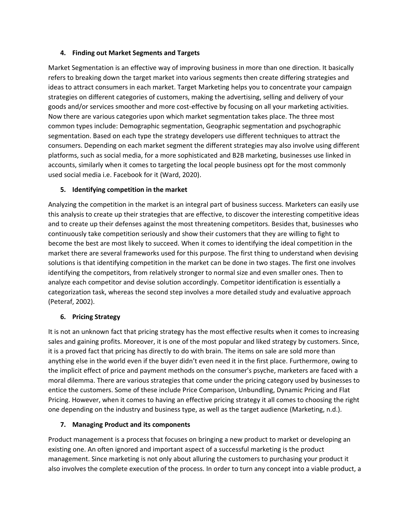## **4. Finding out Market Segments and Targets**

Market Segmentation is an effective way of improving business in more than one direction. It basically refers to breaking down the target market into various segments then create differing strategies and ideas to attract consumers in each market. Target Marketing helps you to concentrate your campaign strategies on different categories of customers, making the advertising, selling and delivery of your goods and/or services smoother and more cost-effective by focusing on all your marketing activities. Now there are various categories upon which market segmentation takes place. The three most common types include: Demographic segmentation, Geographic segmentation and psychographic segmentation. Based on each type the strategy developers use different techniques to attract the consumers. Depending on each market segment the different strategies may also involve using different platforms, such as social media, for a more sophisticated and B2B marketing, businesses use linked in accounts, similarly when it comes to targeting the local people business opt for the most commonly used social media i.e. Facebook for it (Ward, 2020).

# **5. Identifying competition in the market**

Analyzing the competition in the market is an integral part of business success. Marketers can easily use this analysis to create up their strategies that are effective, to discover the interesting competitive ideas and to create up their defenses against the most threatening competitors. Besides that, businesses who continuously take competition seriously and show their customers that they are willing to fight to become the best are most likely to succeed. When it comes to identifying the ideal competition in the market there are several frameworks used for this purpose. The first thing to understand when devising solutions is that identifying competition in the market can be done in two stages. The first one involves identifying the competitors, from relatively stronger to normal size and even smaller ones. Then to analyze each competitor and devise solution accordingly. Competitor identification is essentially a categorization task, whereas the second step involves a more detailed study and evaluative approach (Peteraf, 2002).

# **6. Pricing Strategy**

It is not an unknown fact that pricing strategy has the most effective results when it comes to increasing sales and gaining profits. Moreover, it is one of the most popular and liked strategy by customers. Since, it is a proved fact that pricing has directly to do with brain. The items on sale are sold more than anything else in the world even if the buyer didn't even need it in the first place. Furthermore, owing to the implicit effect of price and payment methods on the consumer's psyche, marketers are faced with a moral dilemma. There are various strategies that come under the pricing category used by businesses to entice the customers. Some of these include Price Comparison, Unbundling, Dynamic Pricing and Flat Pricing. However, when it comes to having an effective pricing strategy it all comes to choosing the right one depending on the industry and business type, as well as the target audience (Marketing, n.d.).

#### **7. Managing Product and its components**

Product management is a process that focuses on bringing a new product to market or developing an existing one. An often ignored and important aspect of a successful marketing is the product management. Since marketing is not only about alluring the customers to purchasing your product it also involves the complete execution of the process. In order to turn any concept into a viable product, a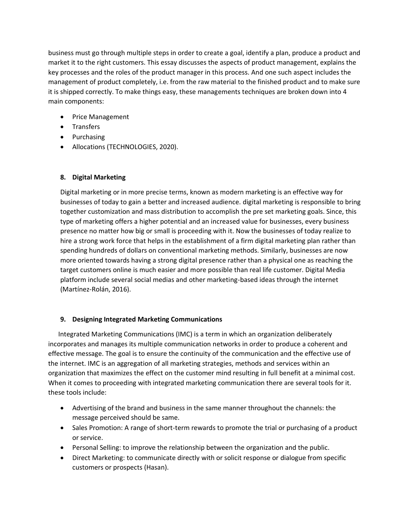business must go through multiple steps in order to create a goal, identify a plan, produce a product and market it to the right customers. This essay discusses the aspects of product management, explains the key processes and the roles of the product manager in this process. And one such aspect includes the management of product completely, i.e. from the raw material to the finished product and to make sure it is shipped correctly. To make things easy, these managements techniques are broken down into 4 main components:

- Price Management
- Transfers
- Purchasing
- Allocations (TECHNOLOGIES, 2020).

# **8. Digital Marketing**

Digital marketing or in more precise terms, known as modern marketing is an effective way for businesses of today to gain a better and increased audience. digital marketing is responsible to bring together customization and mass distribution to accomplish the pre set marketing goals. Since, this type of marketing offers a higher potential and an increased value for businesses, every business presence no matter how big or small is proceeding with it. Now the businesses of today realize to hire a strong work force that helps in the establishment of a firm digital marketing plan rather than spending hundreds of dollars on conventional marketing methods. Similarly, businesses are now more oriented towards having a strong digital presence rather than a physical one as reaching the target customers online is much easier and more possible than real life customer. Digital Media platform include several social medias and other marketing-based ideas through the internet (Martínez-Rolán, 2016).

#### **9. Designing Integrated Marketing Communications**

 Integrated Marketing Communications (IMC) is a term in which an organization deliberately incorporates and manages its multiple communication networks in order to produce a coherent and effective message. The goal is to ensure the continuity of the communication and the effective use of the internet. IMC is an aggregation of all marketing strategies, methods and services within an organization that maximizes the effect on the customer mind resulting in full benefit at a minimal cost. When it comes to proceeding with integrated marketing communication there are several tools for it. these tools include:

- Advertising of the brand and business in the same manner throughout the channels: the message perceived should be same.
- Sales Promotion: A range of short-term rewards to promote the trial or purchasing of a product or service.
- Personal Selling: to improve the relationship between the organization and the public.
- Direct Marketing: to communicate directly with or solicit response or dialogue from specific customers or prospects (Hasan).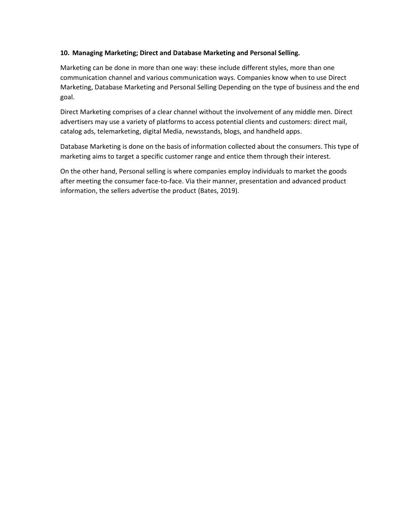#### **10. Managing Marketing; Direct and Database Marketing and Personal Selling.**

Marketing can be done in more than one way: these include different styles, more than one communication channel and various communication ways. Companies know when to use Direct Marketing, Database Marketing and Personal Selling Depending on the type of business and the end goal.

Direct Marketing comprises of a clear channel without the involvement of any middle men. Direct advertisers may use a variety of platforms to access potential clients and customers: direct mail, catalog ads, telemarketing, digital Media, newsstands, blogs, and handheld apps.

Database Marketing is done on the basis of information collected about the consumers. This type of marketing aims to target a specific customer range and entice them through their interest.

On the other hand, Personal selling is where companies employ individuals to market the goods after meeting the consumer face-to-face. Via their manner, presentation and advanced product information, the sellers advertise the product (Bates, 2019).